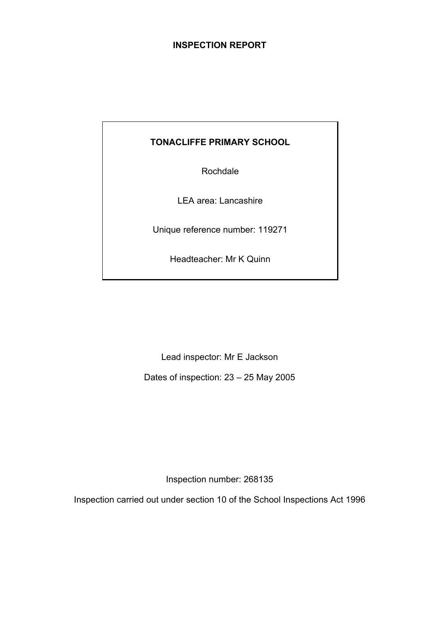## **INSPECTION REPORT**

## **TONACLIFFE PRIMARY SCHOOL**

Rochdale

LEA area: Lancashire

Unique reference number: 119271

Headteacher: Mr K Quinn

Lead inspector: Mr E Jackson

Dates of inspection: 23 – 25 May 2005

Inspection number: 268135

Inspection carried out under section 10 of the School Inspections Act 1996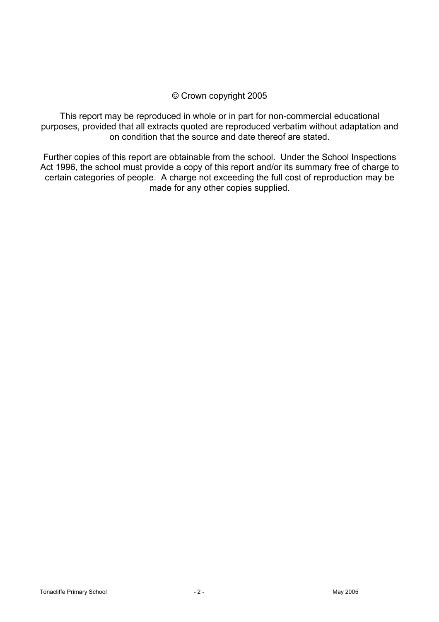## © Crown copyright 2005

This report may be reproduced in whole or in part for non-commercial educational purposes, provided that all extracts quoted are reproduced verbatim without adaptation and on condition that the source and date thereof are stated.

Further copies of this report are obtainable from the school. Under the School Inspections Act 1996, the school must provide a copy of this report and/or its summary free of charge to certain categories of people. A charge not exceeding the full cost of reproduction may be made for any other copies supplied.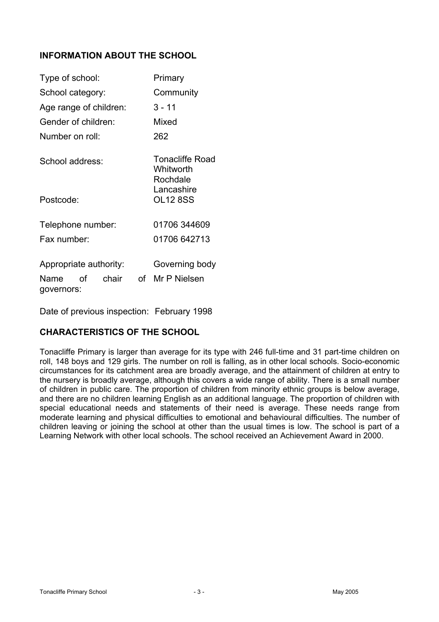## **INFORMATION ABOUT THE SCHOOL**

| Type of school:                                             | Primary                                         |
|-------------------------------------------------------------|-------------------------------------------------|
| School category:                                            | Community                                       |
| Age range of children:                                      | $3 - 11$                                        |
| Gender of children:                                         | Mixed                                           |
| Number on roll:                                             | 262                                             |
| School address:                                             | <b>Tonacliffe Road</b><br>Whitworth<br>Rochdale |
| Postcode:                                                   | Lancashire<br><b>OL12 8SS</b>                   |
| Telephone number:                                           | 01706 344609                                    |
| Fax number:                                                 | 01706 642713                                    |
| Appropriate authority:<br>of<br>chair<br>Name<br>governors: | Governing body<br>of Mr P Nielsen               |

Date of previous inspection: February 1998

## **CHARACTERISTICS OF THE SCHOOL**

Tonacliffe Primary is larger than average for its type with 246 full-time and 31 part-time children on roll, 148 boys and 129 girls. The number on roll is falling, as in other local schools. Socio-economic circumstances for its catchment area are broadly average, and the attainment of children at entry to the nursery is broadly average, although this covers a wide range of ability. There is a small number of children in public care. The proportion of children from minority ethnic groups is below average, and there are no children learning English as an additional language. The proportion of children with special educational needs and statements of their need is average. These needs range from moderate learning and physical difficulties to emotional and behavioural difficulties. The number of children leaving or joining the school at other than the usual times is low. The school is part of a Learning Network with other local schools. The school received an Achievement Award in 2000.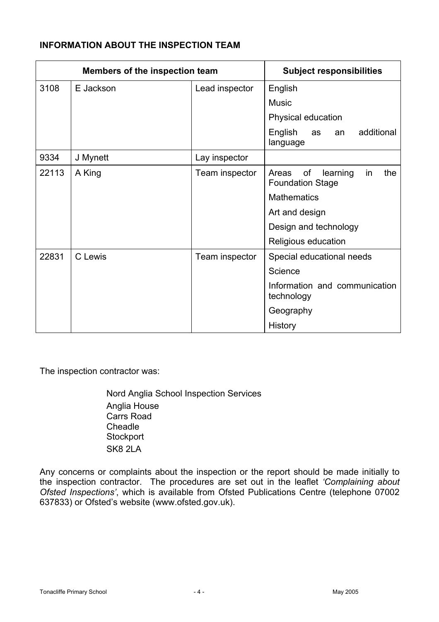## **INFORMATION ABOUT THE INSPECTION TEAM**

| Members of the inspection team |           |                | <b>Subject responsibilities</b>                                 |
|--------------------------------|-----------|----------------|-----------------------------------------------------------------|
| 3108                           | E Jackson | Lead inspector | English                                                         |
|                                |           |                | <b>Music</b>                                                    |
|                                |           |                | Physical education                                              |
|                                |           |                | English<br>additional<br>as<br>an<br>language                   |
| 9334                           | J Mynett  | Lay inspector  |                                                                 |
| 22113                          | A King    | Team inspector | of<br>the<br>learning<br>Areas<br>in<br><b>Foundation Stage</b> |
|                                |           |                | <b>Mathematics</b>                                              |
|                                |           |                | Art and design                                                  |
|                                |           |                | Design and technology                                           |
|                                |           |                | Religious education                                             |
| 22831                          | C Lewis   | Team inspector | Special educational needs                                       |
|                                |           |                | Science                                                         |
|                                |           |                | Information and communication<br>technology                     |
|                                |           |                | Geography                                                       |
|                                |           |                | History                                                         |

The inspection contractor was:

Nord Anglia School Inspection Services Anglia House Carrs Road Cheadle **Stockport** SK8 2LA

Any concerns or complaints about the inspection or the report should be made initially to the inspection contractor. The procedures are set out in the leaflet *'Complaining about Ofsted Inspections'*, which is available from Ofsted Publications Centre (telephone 07002 637833) or Ofsted's website (www.ofsted.gov.uk).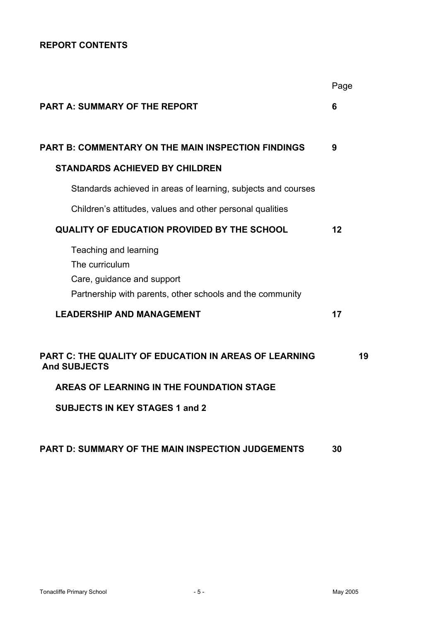## **REPORT CONTENTS**

|                                                                                                                                    | Page |    |
|------------------------------------------------------------------------------------------------------------------------------------|------|----|
| <b>PART A: SUMMARY OF THE REPORT</b>                                                                                               | 6    |    |
| <b>PART B: COMMENTARY ON THE MAIN INSPECTION FINDINGS</b>                                                                          | 9    |    |
| <b>STANDARDS ACHIEVED BY CHILDREN</b>                                                                                              |      |    |
| Standards achieved in areas of learning, subjects and courses                                                                      |      |    |
| Children's attitudes, values and other personal qualities                                                                          |      |    |
| <b>QUALITY OF EDUCATION PROVIDED BY THE SCHOOL</b>                                                                                 | 12   |    |
| Teaching and learning<br>The curriculum<br>Care, guidance and support<br>Partnership with parents, other schools and the community |      |    |
| <b>LEADERSHIP AND MANAGEMENT</b>                                                                                                   | 17   |    |
| <b>PART C: THE QUALITY OF EDUCATION IN AREAS OF LEARNING</b><br><b>And SUBJECTS</b>                                                |      | 19 |
| AREAS OF LEARNING IN THE FOUNDATION STAGE                                                                                          |      |    |
| <b>SUBJECTS IN KEY STAGES 1 and 2</b>                                                                                              |      |    |
| PART D: SUMMARY OF THE MAIN INSPECTION JUDGEMENTS                                                                                  | 30   |    |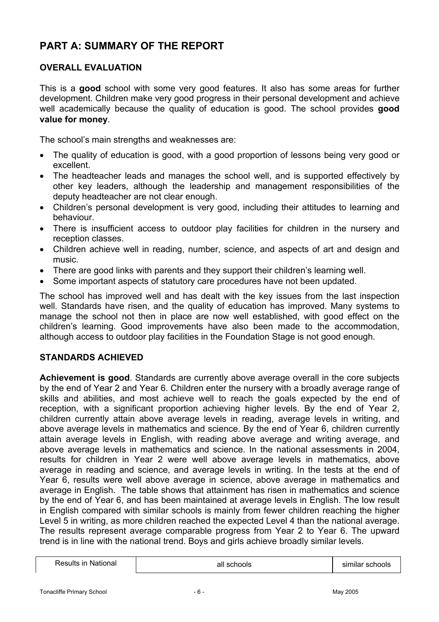# **PART A: SUMMARY OF THE REPORT**

## **OVERALL EVALUATION**

This is a **good** school with some very good features. It also has some areas for further development. Children make very good progress in their personal development and achieve well academically because the quality of education is good. The school provides **good value for money**.

The school's main strengths and weaknesses are:

- The quality of education is good, with a good proportion of lessons being very good or excellent.
- The headteacher leads and manages the school well, and is supported effectively by other key leaders, although the leadership and management responsibilities of the deputy headteacher are not clear enough.
- Children's personal development is very good, including their attitudes to learning and behaviour.
- There is insufficient access to outdoor play facilities for children in the nursery and reception classes.
- Children achieve well in reading, number, science, and aspects of art and design and music.
- There are good links with parents and they support their children's learning well.
- Some important aspects of statutory care procedures have not been updated.

The school has improved well and has dealt with the key issues from the last inspection well. Standards have risen, and the quality of education has improved. Many systems to manage the school not then in place are now well established, with good effect on the children's learning. Good improvements have also been made to the accommodation, although access to outdoor play facilities in the Foundation Stage is not good enough.

#### **STANDARDS ACHIEVED**

**Achievement is good**. Standards are currently above average overall in the core subjects by the end of Year 2 and Year 6. Children enter the nursery with a broadly average range of skills and abilities, and most achieve well to reach the goals expected by the end of reception, with a significant proportion achieving higher levels. By the end of Year 2, children currently attain above average levels in reading, average levels in writing, and above average levels in mathematics and science. By the end of Year 6, children currently attain average levels in English, with reading above average and writing average, and above average levels in mathematics and science. In the national assessments in 2004, results for children in Year 2 were well above average levels in mathematics, above average in reading and science, and average levels in writing. In the tests at the end of Year 6, results were well above average in science, above average in mathematics and average in English. The table shows that attainment has risen in mathematics and science by the end of Year 6, and has been maintained at average levels in English. The low result in English compared with similar schools is mainly from fewer children reaching the higher Level 5 in writing, as more children reached the expected Level 4 than the national average. The results represent average comparable progress from Year 2 to Year 6. The upward trend is in line with the national trend. Boys and girls achieve broadly similar levels.

Results in National all schools similar schools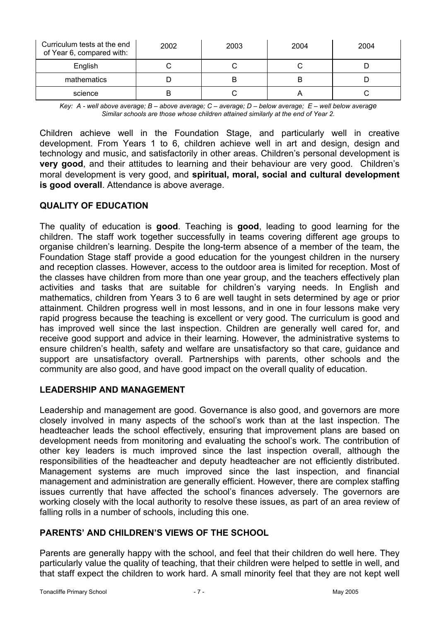| Curriculum tests at the end<br>of Year 6, compared with: | 2002 | 2003 | 2004 | 2004 |
|----------------------------------------------------------|------|------|------|------|
| English                                                  |      |      |      |      |
| mathematics                                              |      |      |      |      |
| science                                                  |      |      |      |      |

*Key: A - well above average; B – above average; C – average; D – below average; E – well below average Similar schools are those whose children attained similarly at the end of Year 2.* 

Children achieve well in the Foundation Stage, and particularly well in creative development. From Years 1 to 6, children achieve well in art and design, design and technology and music, and satisfactorily in other areas. Children's personal development is **very good**, and their attitudes to learning and their behaviour are very good. Children's moral development is very good, and **spiritual, moral, social and cultural development is good overall**. Attendance is above average.

## **QUALITY OF EDUCATION**

The quality of education is **good**. Teaching is **good**, leading to good learning for the children. The staff work together successfully in teams covering different age groups to organise children's learning. Despite the long-term absence of a member of the team, the Foundation Stage staff provide a good education for the youngest children in the nursery and reception classes. However, access to the outdoor area is limited for reception. Most of the classes have children from more than one year group, and the teachers effectively plan activities and tasks that are suitable for children's varying needs. In English and mathematics, children from Years 3 to 6 are well taught in sets determined by age or prior attainment. Children progress well in most lessons, and in one in four lessons make very rapid progress because the teaching is excellent or very good. The curriculum is good and has improved well since the last inspection. Children are generally well cared for, and receive good support and advice in their learning. However, the administrative systems to ensure children's health, safety and welfare are unsatisfactory so that care, guidance and support are unsatisfactory overall. Partnerships with parents, other schools and the community are also good, and have good impact on the overall quality of education.

## **LEADERSHIP AND MANAGEMENT**

Leadership and management are good. Governance is also good, and governors are more closely involved in many aspects of the school's work than at the last inspection. The headteacher leads the school effectively, ensuring that improvement plans are based on development needs from monitoring and evaluating the school's work. The contribution of other key leaders is much improved since the last inspection overall, although the responsibilities of the headteacher and deputy headteacher are not efficiently distributed. Management systems are much improved since the last inspection, and financial management and administration are generally efficient. However, there are complex staffing issues currently that have affected the school's finances adversely. The governors are working closely with the local authority to resolve these issues, as part of an area review of falling rolls in a number of schools, including this one.

## **PARENTS' AND CHILDREN'S VIEWS OF THE SCHOOL**

Parents are generally happy with the school, and feel that their children do well here. They particularly value the quality of teaching, that their children were helped to settle in well, and that staff expect the children to work hard. A small minority feel that they are not kept well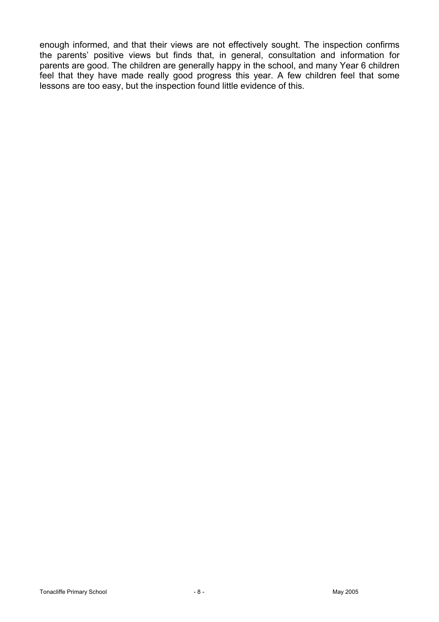enough informed, and that their views are not effectively sought. The inspection confirms the parents' positive views but finds that, in general, consultation and information for parents are good. The children are generally happy in the school, and many Year 6 children feel that they have made really good progress this year. A few children feel that some lessons are too easy, but the inspection found little evidence of this.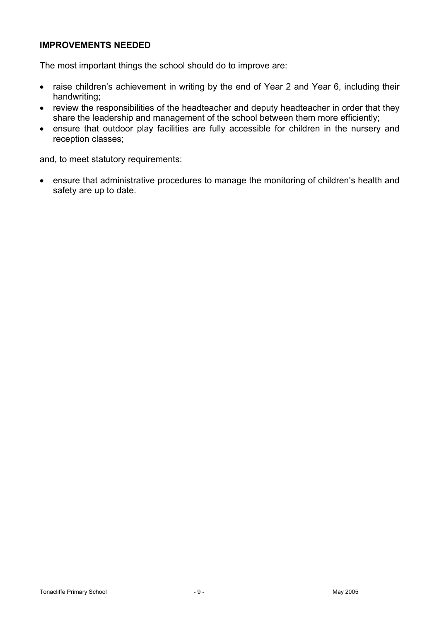## **IMPROVEMENTS NEEDED**

The most important things the school should do to improve are:

- raise children's achievement in writing by the end of Year 2 and Year 6, including their handwriting;
- review the responsibilities of the headteacher and deputy headteacher in order that they share the leadership and management of the school between them more efficiently;
- ensure that outdoor play facilities are fully accessible for children in the nursery and reception classes;

and, to meet statutory requirements:

• ensure that administrative procedures to manage the monitoring of children's health and safety are up to date.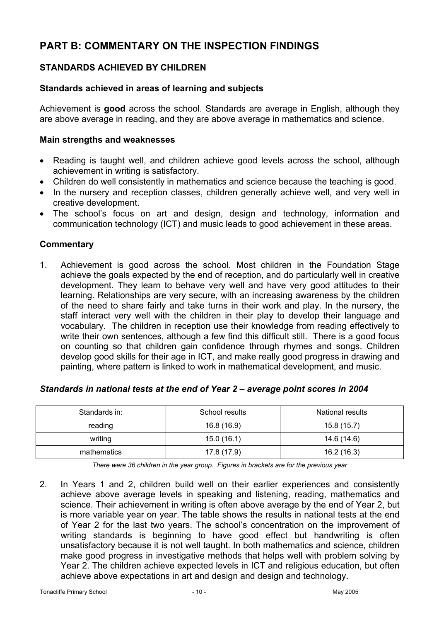# **PART B: COMMENTARY ON THE INSPECTION FINDINGS**

## **STANDARDS ACHIEVED BY CHILDREN**

## **Standards achieved in areas of learning and subjects**

Achievement is **good** across the school. Standards are average in English, although they are above average in reading, and they are above average in mathematics and science.

#### **Main strengths and weaknesses**

- Reading is taught well, and children achieve good levels across the school, although achievement in writing is satisfactory.
- Children do well consistently in mathematics and science because the teaching is good.
- In the nursery and reception classes, children generally achieve well, and very well in creative development.
- The school's focus on art and design, design and technology, information and communication technology (ICT) and music leads to good achievement in these areas.

## **Commentary**

1. Achievement is good across the school. Most children in the Foundation Stage achieve the goals expected by the end of reception, and do particularly well in creative development. They learn to behave very well and have very good attitudes to their learning. Relationships are very secure, with an increasing awareness by the children of the need to share fairly and take turns in their work and play. In the nursery, the staff interact very well with the children in their play to develop their language and vocabulary. The children in reception use their knowledge from reading effectively to write their own sentences, although a few find this difficult still. There is a good focus on counting so that children gain confidence through rhymes and songs. Children develop good skills for their age in ICT, and make really good progress in drawing and painting, where pattern is linked to work in mathematical development, and music.

| Standards in: | School results | <b>National results</b> |
|---------------|----------------|-------------------------|
| reading       | 16.8 (16.9)    | 15.8(15.7)              |
| writing       | 15.0(16.1)     | 14.6 (14.6)             |
| mathematics   | 17.8 (17.9)    | 16.2 (16.3)             |

#### *Standards in national tests at the end of Year 2 – average point scores in 2004*

*There were 36 children in the year group. Figures in brackets are for the previous year* 

2. In Years 1 and 2, children build well on their earlier experiences and consistently achieve above average levels in speaking and listening, reading, mathematics and science. Their achievement in writing is often above average by the end of Year 2, but is more variable year on year. The table shows the results in national tests at the end of Year 2 for the last two years. The school's concentration on the improvement of writing standards is beginning to have good effect but handwriting is often unsatisfactory because it is not well taught. In both mathematics and science, children make good progress in investigative methods that helps well with problem solving by Year 2. The children achieve expected levels in ICT and religious education, but often achieve above expectations in art and design and design and technology.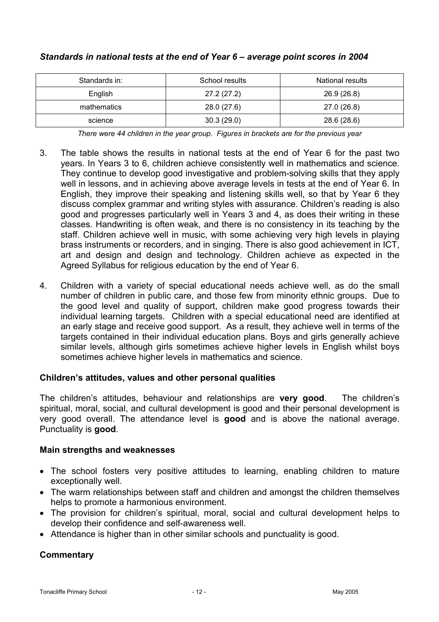| Standards in: | School results | National results |
|---------------|----------------|------------------|
| English       | 27.2 (27.2)    | 26.9 (26.8)      |
| mathematics   | 28.0 (27.6)    | 27.0 (26.8)      |
| science       | 30.3(29.0)     | 28.6 (28.6)      |

## *Standards in national tests at the end of Year 6 – average point scores in 2004*

*There were 44 children in the year group. Figures in brackets are for the previous year* 

- 3. The table shows the results in national tests at the end of Year 6 for the past two years. In Years 3 to 6, children achieve consistently well in mathematics and science. They continue to develop good investigative and problem-solving skills that they apply well in lessons, and in achieving above average levels in tests at the end of Year 6. In English, they improve their speaking and listening skills well, so that by Year 6 they discuss complex grammar and writing styles with assurance. Children's reading is also good and progresses particularly well in Years 3 and 4, as does their writing in these classes. Handwriting is often weak, and there is no consistency in its teaching by the staff. Children achieve well in music, with some achieving very high levels in playing brass instruments or recorders, and in singing. There is also good achievement in ICT, art and design and design and technology. Children achieve as expected in the Agreed Syllabus for religious education by the end of Year 6.
- 4. Children with a variety of special educational needs achieve well, as do the small number of children in public care, and those few from minority ethnic groups. Due to the good level and quality of support, children make good progress towards their individual learning targets. Children with a special educational need are identified at an early stage and receive good support. As a result, they achieve well in terms of the targets contained in their individual education plans. Boys and girls generally achieve similar levels, although girls sometimes achieve higher levels in English whilst boys sometimes achieve higher levels in mathematics and science.

## **Children's attitudes, values and other personal qualities**

The children's attitudes, behaviour and relationships are **very good**. The children's spiritual, moral, social, and cultural development is good and their personal development is very good overall. The attendance level is **good** and is above the national average. Punctuality is **good**.

#### **Main strengths and weaknesses**

- The school fosters very positive attitudes to learning, enabling children to mature exceptionally well.
- The warm relationships between staff and children and amongst the children themselves helps to promote a harmonious environment.
- The provision for children's spiritual, moral, social and cultural development helps to develop their confidence and self-awareness well.
- Attendance is higher than in other similar schools and punctuality is good.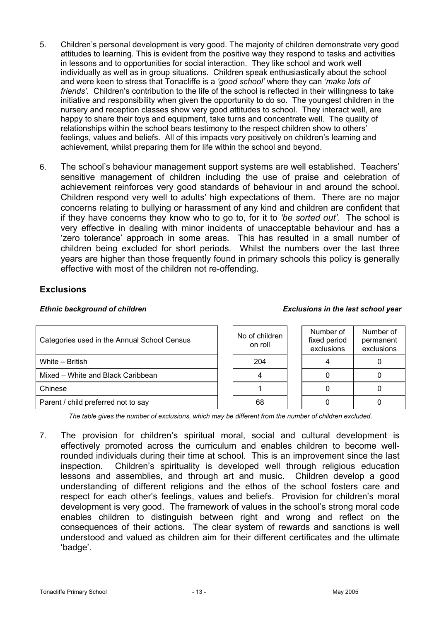- 5. Children's personal development is very good. The majority of children demonstrate very good attitudes to learning. This is evident from the positive way they respond to tasks and activities in lessons and to opportunities for social interaction. They like school and work well individually as well as in group situations. Children speak enthusiastically about the school and were keen to stress that Tonacliffe is a *'good school'* where they can *'make lots of friends'.* Children's contribution to the life of the school is reflected in their willingness to take initiative and responsibility when given the opportunity to do so. The youngest children in the nursery and reception classes show very good attitudes to school. They interact well, are happy to share their toys and equipment, take turns and concentrate well. The quality of relationships within the school bears testimony to the respect children show to others' feelings, values and beliefs. All of this impacts very positively on children's learning and achievement, whilst preparing them for life within the school and beyond.
- 6. The school's behaviour management support systems are well established. Teachers' sensitive management of children including the use of praise and celebration of achievement reinforces very good standards of behaviour in and around the school. Children respond very well to adults' high expectations of them. There are no major concerns relating to bullying or harassment of any kind and children are confident that if they have concerns they know who to go to, for it to *'be sorted out'*. The school is very effective in dealing with minor incidents of unacceptable behaviour and has a 'zero tolerance' approach in some areas. This has resulted in a small number of children being excluded for short periods. Whilst the numbers over the last three years are higher than those frequently found in primary schools this policy is generally effective with most of the children not re-offending.

## **Exclusions**

| Categories used in the Annual School Census | No of children<br>on roll | Number of<br>fixed period<br>exclusions | Number of<br>permanent<br>exclusions |
|---------------------------------------------|---------------------------|-----------------------------------------|--------------------------------------|
| White - British                             | 204                       |                                         |                                      |
| Mixed - White and Black Caribbean           |                           |                                         |                                      |
| Chinese                                     |                           |                                         |                                      |
| Parent / child preferred not to say         | 68                        |                                         |                                      |

*The table gives the number of exclusions, which may be different from the number of children excluded.*

7. The provision for children's spiritual moral, social and cultural development is effectively promoted across the curriculum and enables children to become wellrounded individuals during their time at school. This is an improvement since the last inspection. Children's spirituality is developed well through religious education lessons and assemblies, and through art and music. Children develop a good understanding of different religions and the ethos of the school fosters care and respect for each other's feelings, values and beliefs. Provision for children's moral development is very good. The framework of values in the school's strong moral code enables children to distinguish between right and wrong and reflect on the consequences of their actions. The clear system of rewards and sanctions is well understood and valued as children aim for their different certificates and the ultimate 'badge'.

*Ethnic background of children Exclusions in the last school year*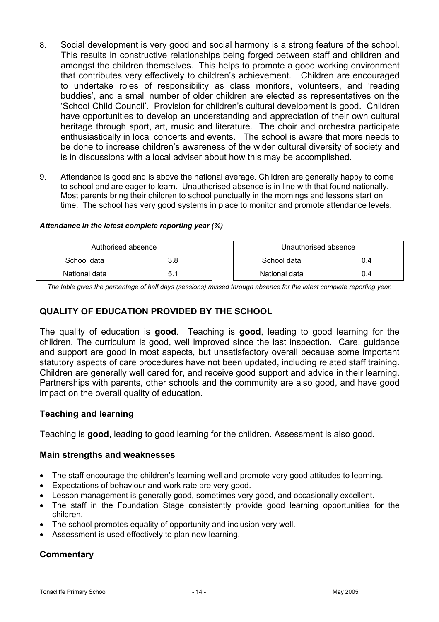- 8. Social development is very good and social harmony is a strong feature of the school. This results in constructive relationships being forged between staff and children and amongst the children themselves. This helps to promote a good working environment that contributes very effectively to children's achievement. Children are encouraged to undertake roles of responsibility as class monitors, volunteers, and 'reading buddies', and a small number of older children are elected as representatives on the 'School Child Council'. Provision for children's cultural development is good. Children have opportunities to develop an understanding and appreciation of their own cultural heritage through sport, art, music and literature. The choir and orchestra participate enthusiastically in local concerts and events. The school is aware that more needs to be done to increase children's awareness of the wider cultural diversity of society and is in discussions with a local adviser about how this may be accomplished.
- 9. Attendance is good and is above the national average. Children are generally happy to come to school and are eager to learn. Unauthorised absence is in line with that found nationally. Most parents bring their children to school punctually in the mornings and lessons start on time. The school has very good systems in place to monitor and promote attendance levels.

#### *Attendance in the latest complete reporting year (%)*

| Authorised absence |      | Unauthorised absence |     |
|--------------------|------|----------------------|-----|
| School data        | 3.8  | School data          | 0.4 |
| National data      | ו. ט | National data        | 0.4 |

*The table gives the percentage of half days (sessions) missed through absence for the latest complete reporting year.*

#### **QUALITY OF EDUCATION PROVIDED BY THE SCHOOL**

The quality of education is **good**. Teaching is **good**, leading to good learning for the children. The curriculum is good, well improved since the last inspection. Care, guidance and support are good in most aspects, but unsatisfactory overall because some important statutory aspects of care procedures have not been updated, including related staff training. Children are generally well cared for, and receive good support and advice in their learning. Partnerships with parents, other schools and the community are also good, and have good impact on the overall quality of education.

#### **Teaching and learning**

Teaching is **good**, leading to good learning for the children. Assessment is also good.

#### **Main strengths and weaknesses**

- The staff encourage the children's learning well and promote very good attitudes to learning.
- Expectations of behaviour and work rate are very good.
- Lesson management is generally good, sometimes very good, and occasionally excellent.
- The staff in the Foundation Stage consistently provide good learning opportunities for the children.
- The school promotes equality of opportunity and inclusion very well.
- Assessment is used effectively to plan new learning.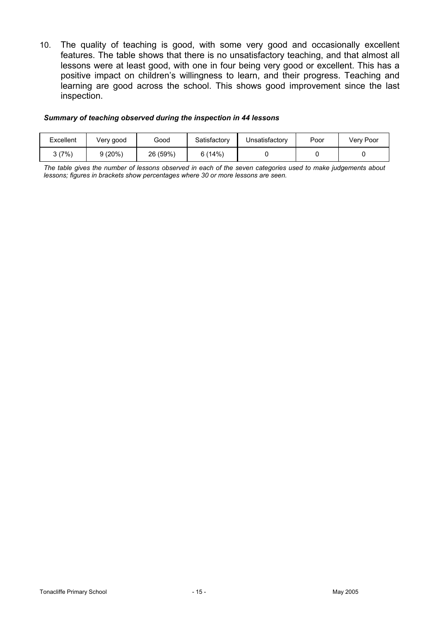10. The quality of teaching is good, with some very good and occasionally excellent features. The table shows that there is no unsatisfactory teaching, and that almost all lessons were at least good, with one in four being very good or excellent. This has a positive impact on children's willingness to learn, and their progress. Teaching and learning are good across the school. This shows good improvement since the last inspection.

#### *Summary of teaching observed during the inspection in 44 lessons*

| Excellent | Very good | Good     | Satisfactory | Unsatisfactory | Poor | Verv Poor |
|-----------|-----------|----------|--------------|----------------|------|-----------|
| 3 (7%)    | 9(20%)    | 26 (59%) | 6(14%)       |                |      |           |

*The table gives the number of lessons observed in each of the seven categories used to make judgements about lessons; figures in brackets show percentages where 30 or more lessons are seen.*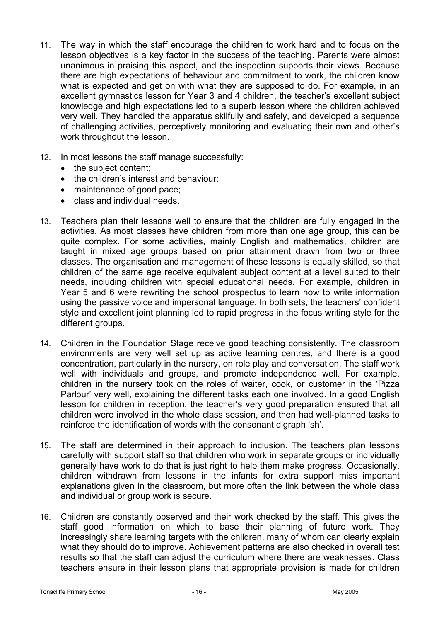- 11. The way in which the staff encourage the children to work hard and to focus on the lesson objectives is a key factor in the success of the teaching. Parents were almost unanimous in praising this aspect, and the inspection supports their views. Because there are high expectations of behaviour and commitment to work, the children know what is expected and get on with what they are supposed to do. For example, in an excellent gymnastics lesson for Year 3 and 4 children, the teacher's excellent subject knowledge and high expectations led to a superb lesson where the children achieved very well. They handled the apparatus skilfully and safely, and developed a sequence of challenging activities, perceptively monitoring and evaluating their own and other's work throughout the lesson.
- 12. In most lessons the staff manage successfully:
	- the subject content;
	- the children's interest and behaviour:
	- maintenance of good pace;
	- class and individual needs.
- 13. Teachers plan their lessons well to ensure that the children are fully engaged in the activities. As most classes have children from more than one age group, this can be quite complex. For some activities, mainly English and mathematics, children are taught in mixed age groups based on prior attainment drawn from two or three classes. The organisation and management of these lessons is equally skilled, so that children of the same age receive equivalent subject content at a level suited to their needs, including children with special educational needs. For example, children in Year 5 and 6 were rewriting the school prospectus to learn how to write information using the passive voice and impersonal language. In both sets, the teachers' confident style and excellent joint planning led to rapid progress in the focus writing style for the different groups.
- 14. Children in the Foundation Stage receive good teaching consistently. The classroom environments are very well set up as active learning centres, and there is a good concentration, particularly in the nursery, on role play and conversation. The staff work well with individuals and groups, and promote independence well. For example, children in the nursery took on the roles of waiter, cook, or customer in the 'Pizza Parlour' very well, explaining the different tasks each one involved. In a good English lesson for children in reception, the teacher's very good preparation ensured that all children were involved in the whole class session, and then had well-planned tasks to reinforce the identification of words with the consonant digraph 'sh'.
- 15. The staff are determined in their approach to inclusion. The teachers plan lessons carefully with support staff so that children who work in separate groups or individually generally have work to do that is just right to help them make progress. Occasionally, children withdrawn from lessons in the infants for extra support miss important explanations given in the classroom, but more often the link between the whole class and individual or group work is secure.
- 16. Children are constantly observed and their work checked by the staff. This gives the staff good information on which to base their planning of future work. They increasingly share learning targets with the children, many of whom can clearly explain what they should do to improve. Achievement patterns are also checked in overall test results so that the staff can adjust the curriculum where there are weaknesses. Class teachers ensure in their lesson plans that appropriate provision is made for children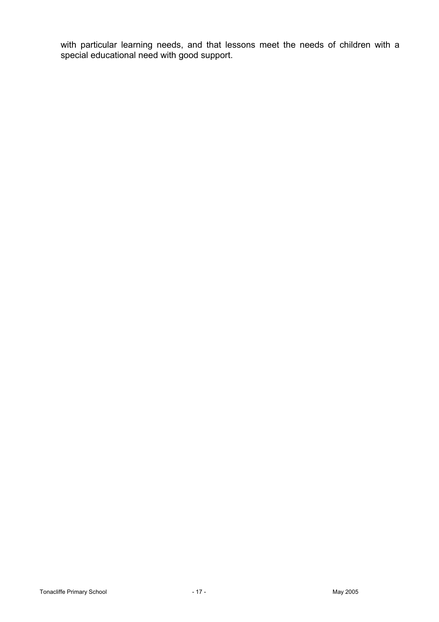with particular learning needs, and that lessons meet the needs of children with a special educational need with good support.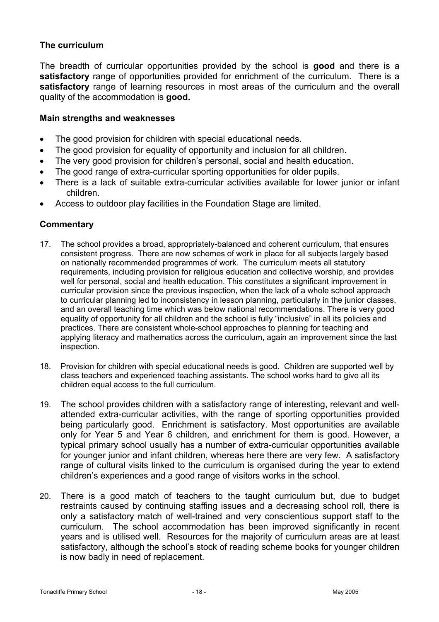## **The curriculum**

The breadth of curricular opportunities provided by the school is **good** and there is a **satisfactory** range of opportunities provided for enrichment of the curriculum. There is a **satisfactory** range of learning resources in most areas of the curriculum and the overall quality of the accommodation is **good.** 

#### **Main strengths and weaknesses**

- The good provision for children with special educational needs.
- The good provision for equality of opportunity and inclusion for all children.
- The very good provision for children's personal, social and health education.
- The good range of extra-curricular sporting opportunities for older pupils.
- There is a lack of suitable extra-curricular activities available for lower junior or infant children.
- Access to outdoor play facilities in the Foundation Stage are limited.

- 17. The school provides a broad, appropriately-balanced and coherent curriculum, that ensures consistent progress. There are now schemes of work in place for all subjects largely based on nationally recommended programmes of work. The curriculum meets all statutory requirements, including provision for religious education and collective worship, and provides well for personal, social and health education. This constitutes a significant improvement in curricular provision since the previous inspection, when the lack of a whole school approach to curricular planning led to inconsistency in lesson planning, particularly in the junior classes, and an overall teaching time which was below national recommendations. There is very good equality of opportunity for all children and the school is fully "inclusive" in all its policies and practices. There are consistent whole-school approaches to planning for teaching and applying literacy and mathematics across the curriculum, again an improvement since the last inspection.
- 18. Provision for children with special educational needs is good. Children are supported well by class teachers and experienced teaching assistants. The school works hard to give all its children equal access to the full curriculum.
- 19. The school provides children with a satisfactory range of interesting, relevant and wellattended extra-curricular activities, with the range of sporting opportunities provided being particularly good. Enrichment is satisfactory. Most opportunities are available only for Year 5 and Year 6 children, and enrichment for them is good. However, a typical primary school usually has a number of extra-curricular opportunities available for younger junior and infant children, whereas here there are very few. A satisfactory range of cultural visits linked to the curriculum is organised during the year to extend children's experiences and a good range of visitors works in the school.
- 20. There is a good match of teachers to the taught curriculum but, due to budget restraints caused by continuing staffing issues and a decreasing school roll, there is only a satisfactory match of well-trained and very conscientious support staff to the curriculum. The school accommodation has been improved significantly in recent years and is utilised well. Resources for the majority of curriculum areas are at least satisfactory, although the school's stock of reading scheme books for younger children is now badly in need of replacement.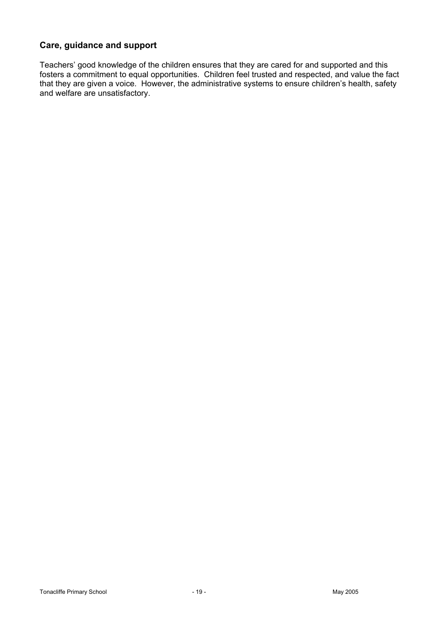## **Care, guidance and support**

Teachers' good knowledge of the children ensures that they are cared for and supported and this fosters a commitment to equal opportunities. Children feel trusted and respected, and value the fact that they are given a voice. However, the administrative systems to ensure children's health, safety and welfare are unsatisfactory.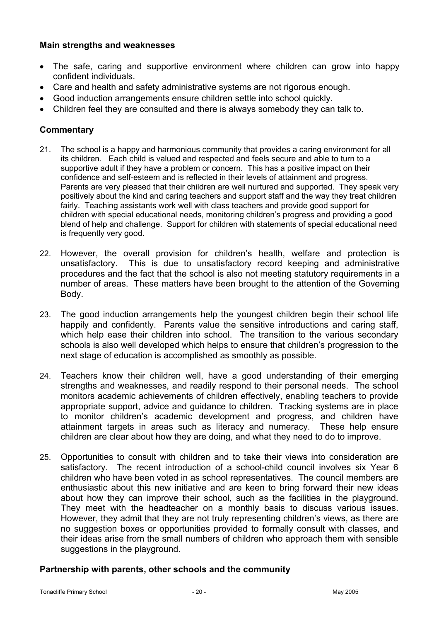#### **Main strengths and weaknesses**

- The safe, caring and supportive environment where children can grow into happy confident individuals.
- Care and health and safety administrative systems are not rigorous enough.
- Good induction arrangements ensure children settle into school quickly.
- Children feel they are consulted and there is always somebody they can talk to.

## **Commentary**

- 21. The school is a happy and harmonious community that provides a caring environment for all its children. Each child is valued and respected and feels secure and able to turn to a supportive adult if they have a problem or concern. This has a positive impact on their confidence and self-esteem and is reflected in their levels of attainment and progress. Parents are very pleased that their children are well nurtured and supported. They speak very positively about the kind and caring teachers and support staff and the way they treat children fairly. Teaching assistants work well with class teachers and provide good support for children with special educational needs, monitoring children's progress and providing a good blend of help and challenge. Support for children with statements of special educational need is frequently very good.
- 22. However, the overall provision for children's health, welfare and protection is unsatisfactory. This is due to unsatisfactory record keeping and administrative procedures and the fact that the school is also not meeting statutory requirements in a number of areas. These matters have been brought to the attention of the Governing Body.
- 23. The good induction arrangements help the youngest children begin their school life happily and confidently. Parents value the sensitive introductions and caring staff, which help ease their children into school. The transition to the various secondary schools is also well developed which helps to ensure that children's progression to the next stage of education is accomplished as smoothly as possible.
- 24. Teachers know their children well, have a good understanding of their emerging strengths and weaknesses, and readily respond to their personal needs. The school monitors academic achievements of children effectively, enabling teachers to provide appropriate support, advice and guidance to children. Tracking systems are in place to monitor children's academic development and progress, and children have attainment targets in areas such as literacy and numeracy. These help ensure children are clear about how they are doing, and what they need to do to improve.
- 25. Opportunities to consult with children and to take their views into consideration are satisfactory. The recent introduction of a school-child council involves six Year 6 children who have been voted in as school representatives. The council members are enthusiastic about this new initiative and are keen to bring forward their new ideas about how they can improve their school, such as the facilities in the playground. They meet with the headteacher on a monthly basis to discuss various issues. However, they admit that they are not truly representing children's views, as there are no suggestion boxes or opportunities provided to formally consult with classes, and their ideas arise from the small numbers of children who approach them with sensible suggestions in the playground.

#### **Partnership with parents, other schools and the community**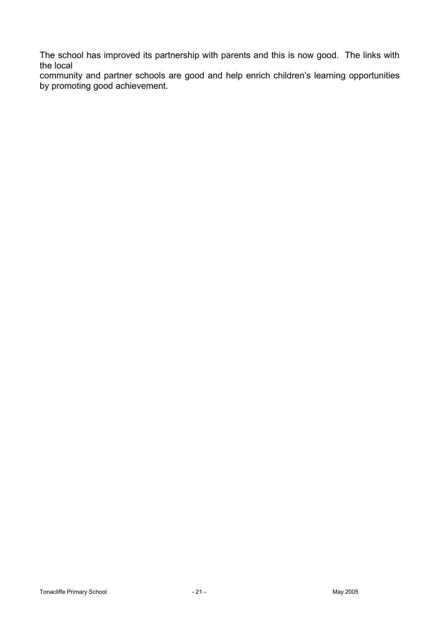The school has improved its partnership with parents and this is now good. The links with the local

community and partner schools are good and help enrich children's learning opportunities by promoting good achievement.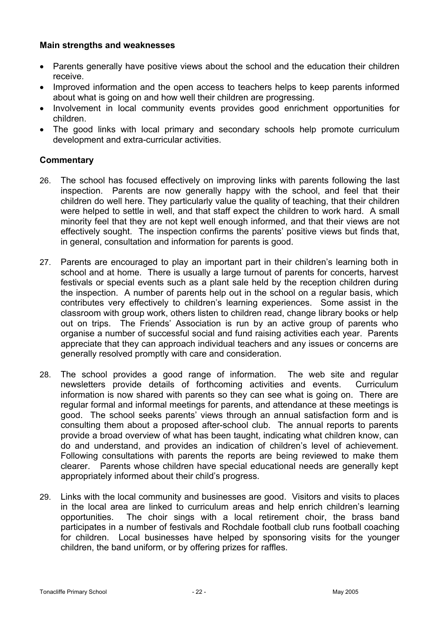## **Main strengths and weaknesses**

- Parents generally have positive views about the school and the education their children receive.
- Improved information and the open access to teachers helps to keep parents informed about what is going on and how well their children are progressing.
- Involvement in local community events provides good enrichment opportunities for children.
- The good links with local primary and secondary schools help promote curriculum development and extra-curricular activities.

- 26. The school has focused effectively on improving links with parents following the last inspection. Parents are now generally happy with the school, and feel that their children do well here. They particularly value the quality of teaching, that their children were helped to settle in well, and that staff expect the children to work hard. A small minority feel that they are not kept well enough informed, and that their views are not effectively sought. The inspection confirms the parents' positive views but finds that, in general, consultation and information for parents is good.
- 27. Parents are encouraged to play an important part in their children's learning both in school and at home. There is usually a large turnout of parents for concerts, harvest festivals or special events such as a plant sale held by the reception children during the inspection. A number of parents help out in the school on a regular basis, which contributes very effectively to children's learning experiences. Some assist in the classroom with group work, others listen to children read, change library books or help out on trips. The Friends' Association is run by an active group of parents who organise a number of successful social and fund raising activities each year. Parents appreciate that they can approach individual teachers and any issues or concerns are generally resolved promptly with care and consideration.
- 28. The school provides a good range of information. The web site and regular newsletters provide details of forthcoming activities and events. Curriculum information is now shared with parents so they can see what is going on. There are regular formal and informal meetings for parents, and attendance at these meetings is good. The school seeks parents' views through an annual satisfaction form and is consulting them about a proposed after-school club. The annual reports to parents provide a broad overview of what has been taught, indicating what children know, can do and understand, and provides an indication of children's level of achievement. Following consultations with parents the reports are being reviewed to make them clearer. Parents whose children have special educational needs are generally kept appropriately informed about their child's progress.
- 29. Links with the local community and businesses are good. Visitors and visits to places in the local area are linked to curriculum areas and help enrich children's learning opportunities. The choir sings with a local retirement choir, the brass band participates in a number of festivals and Rochdale football club runs football coaching for children. Local businesses have helped by sponsoring visits for the younger children, the band uniform, or by offering prizes for raffles.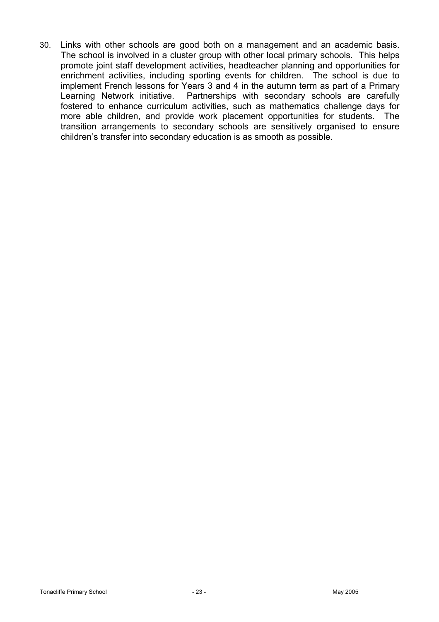30. Links with other schools are good both on a management and an academic basis. The school is involved in a cluster group with other local primary schools. This helps promote joint staff development activities, headteacher planning and opportunities for enrichment activities, including sporting events for children. The school is due to implement French lessons for Years 3 and 4 in the autumn term as part of a Primary Learning Network initiative. Partnerships with secondary schools are carefully fostered to enhance curriculum activities, such as mathematics challenge days for more able children, and provide work placement opportunities for students. The transition arrangements to secondary schools are sensitively organised to ensure children's transfer into secondary education is as smooth as possible.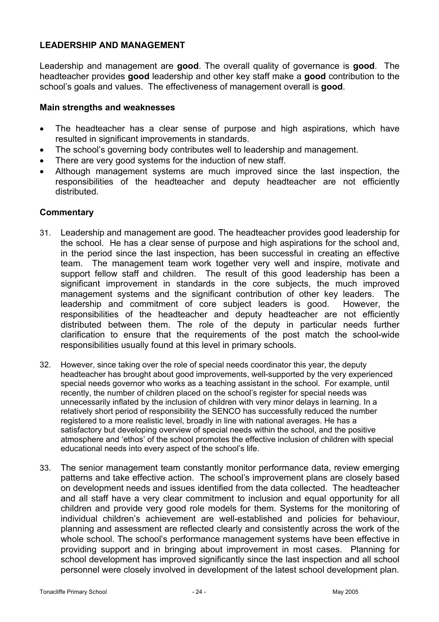## **LEADERSHIP AND MANAGEMENT**

Leadership and management are **good**. The overall quality of governance is **good**. The headteacher provides **good** leadership and other key staff make a **good** contribution to the school's goals and values. The effectiveness of management overall is **good**.

#### **Main strengths and weaknesses**

- The headteacher has a clear sense of purpose and high aspirations, which have resulted in significant improvements in standards.
- The school's governing body contributes well to leadership and management.
- There are very good systems for the induction of new staff.
- Although management systems are much improved since the last inspection, the responsibilities of the headteacher and deputy headteacher are not efficiently distributed.

- 31. Leadership and management are good. The headteacher provides good leadership for the school. He has a clear sense of purpose and high aspirations for the school and, in the period since the last inspection, has been successful in creating an effective team. The management team work together very well and inspire, motivate and support fellow staff and children. The result of this good leadership has been a significant improvement in standards in the core subjects, the much improved management systems and the significant contribution of other key leaders. The leadership and commitment of core subject leaders is good. However, the responsibilities of the headteacher and deputy headteacher are not efficiently distributed between them. The role of the deputy in particular needs further clarification to ensure that the requirements of the post match the school-wide responsibilities usually found at this level in primary schools.
- 32. However, since taking over the role of special needs coordinator this year, the deputy headteacher has brought about good improvements, well-supported by the very experienced special needs governor who works as a teaching assistant in the school. For example, until recently, the number of children placed on the school's register for special needs was unnecessarily inflated by the inclusion of children with very minor delays in learning. In a relatively short period of responsibility the SENCO has successfully reduced the number registered to a more realistic level, broadly in line with national averages. He has a satisfactory but developing overview of special needs within the school, and the positive atmosphere and 'ethos' of the school promotes the effective inclusion of children with special educational needs into every aspect of the school's life.
- 33. The senior management team constantly monitor performance data, review emerging patterns and take effective action. The school's improvement plans are closely based on development needs and issues identified from the data collected. The headteacher and all staff have a very clear commitment to inclusion and equal opportunity for all children and provide very good role models for them. Systems for the monitoring of individual children's achievement are well-established and policies for behaviour, planning and assessment are reflected clearly and consistently across the work of the whole school. The school's performance management systems have been effective in providing support and in bringing about improvement in most cases. Planning for school development has improved significantly since the last inspection and all school personnel were closely involved in development of the latest school development plan.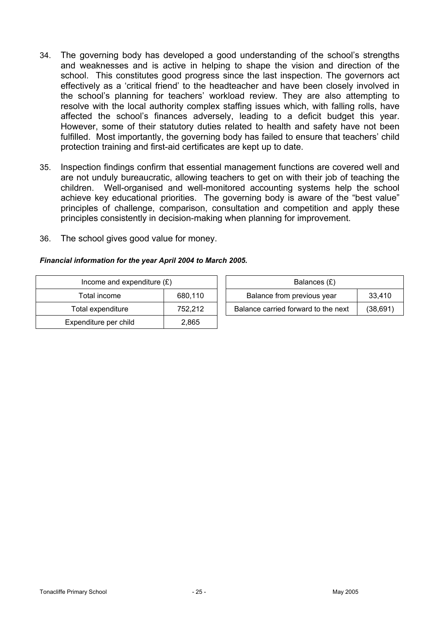- 34. The governing body has developed a good understanding of the school's strengths and weaknesses and is active in helping to shape the vision and direction of the school. This constitutes good progress since the last inspection. The governors act effectively as a 'critical friend' to the headteacher and have been closely involved in the school's planning for teachers' workload review. They are also attempting to resolve with the local authority complex staffing issues which, with falling rolls, have affected the school's finances adversely, leading to a deficit budget this year. However, some of their statutory duties related to health and safety have not been fulfilled. Most importantly, the governing body has failed to ensure that teachers' child protection training and first-aid certificates are kept up to date.
- 35. Inspection findings confirm that essential management functions are covered well and are not unduly bureaucratic, allowing teachers to get on with their job of teaching the children. Well-organised and well-monitored accounting systems help the school achieve key educational priorities. The governing body is aware of the "best value" principles of challenge, comparison, consultation and competition and apply these principles consistently in decision-making when planning for improvement.
- 36. The school gives good value for money.

#### *Financial information for the year April 2004 to March 2005.*

| Income and expenditure $(E)$ |         | Balances (£)                        |          |
|------------------------------|---------|-------------------------------------|----------|
| Total income                 | 680.110 | Balance from previous year          | 33.410   |
| Total expenditure            | 752.212 | Balance carried forward to the next | (38,691) |
| Expenditure per child        | 2,865   |                                     |          |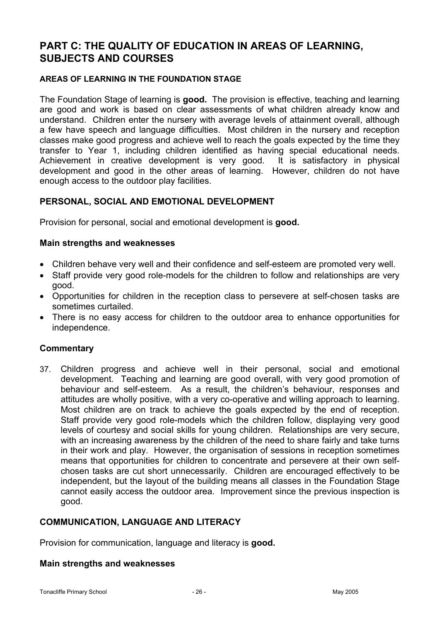# **PART C: THE QUALITY OF EDUCATION IN AREAS OF LEARNING, SUBJECTS AND COURSES**

#### **AREAS OF LEARNING IN THE FOUNDATION STAGE**

The Foundation Stage of learning is **good.** The provision is effective, teaching and learning are good and work is based on clear assessments of what children already know and understand. Children enter the nursery with average levels of attainment overall, although a few have speech and language difficulties. Most children in the nursery and reception classes make good progress and achieve well to reach the goals expected by the time they transfer to Year 1, including children identified as having special educational needs. Achievement in creative development is very good. It is satisfactory in physical development and good in the other areas of learning. However, children do not have enough access to the outdoor play facilities.

#### **PERSONAL, SOCIAL AND EMOTIONAL DEVELOPMENT**

Provision for personal, social and emotional development is **good.** 

#### **Main strengths and weaknesses**

- Children behave very well and their confidence and self-esteem are promoted very well.
- Staff provide very good role-models for the children to follow and relationships are very good.
- Opportunities for children in the reception class to persevere at self-chosen tasks are sometimes curtailed.
- There is no easy access for children to the outdoor area to enhance opportunities for independence.

#### **Commentary**

37. Children progress and achieve well in their personal, social and emotional development. Teaching and learning are good overall, with very good promotion of behaviour and self-esteem. As a result, the children's behaviour, responses and attitudes are wholly positive, with a very co-operative and willing approach to learning. Most children are on track to achieve the goals expected by the end of reception. Staff provide very good role-models which the children follow, displaying very good levels of courtesy and social skills for young children. Relationships are very secure, with an increasing awareness by the children of the need to share fairly and take turns in their work and play. However, the organisation of sessions in reception sometimes means that opportunities for children to concentrate and persevere at their own selfchosen tasks are cut short unnecessarily. Children are encouraged effectively to be independent, but the layout of the building means all classes in the Foundation Stage cannot easily access the outdoor area. Improvement since the previous inspection is good.

#### **COMMUNICATION, LANGUAGE AND LITERACY**

Provision for communication, language and literacy is **good.** 

#### **Main strengths and weaknesses**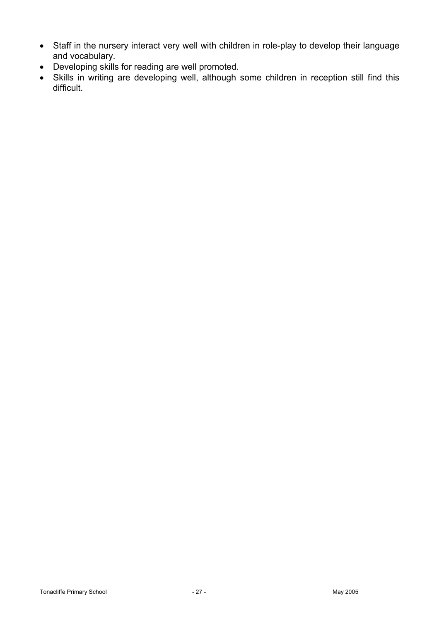- Staff in the nursery interact very well with children in role-play to develop their language and vocabulary.
- Developing skills for reading are well promoted.
- Skills in writing are developing well, although some children in reception still find this difficult.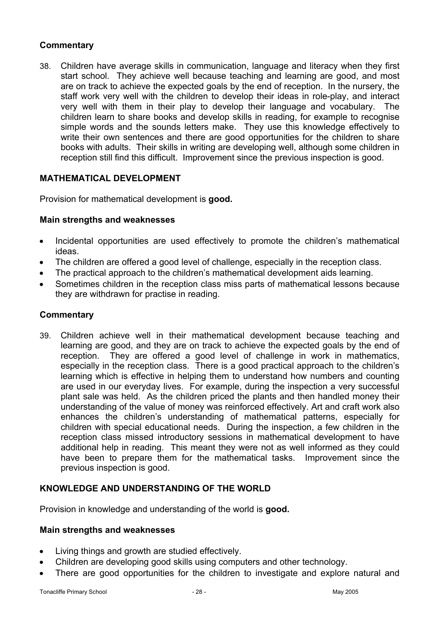## **Commentary**

38. Children have average skills in communication, language and literacy when they first start school. They achieve well because teaching and learning are good, and most are on track to achieve the expected goals by the end of reception. In the nursery, the staff work very well with the children to develop their ideas in role-play, and interact very well with them in their play to develop their language and vocabulary. The children learn to share books and develop skills in reading, for example to recognise simple words and the sounds letters make. They use this knowledge effectively to write their own sentences and there are good opportunities for the children to share books with adults. Their skills in writing are developing well, although some children in reception still find this difficult. Improvement since the previous inspection is good.

## **MATHEMATICAL DEVELOPMENT**

Provision for mathematical development is **good.** 

## **Main strengths and weaknesses**

- Incidental opportunities are used effectively to promote the children's mathematical ideas.
- The children are offered a good level of challenge, especially in the reception class.
- The practical approach to the children's mathematical development aids learning.
- Sometimes children in the reception class miss parts of mathematical lessons because they are withdrawn for practise in reading.

## **Commentary**

39. Children achieve well in their mathematical development because teaching and learning are good, and they are on track to achieve the expected goals by the end of reception. They are offered a good level of challenge in work in mathematics, especially in the reception class. There is a good practical approach to the children's learning which is effective in helping them to understand how numbers and counting are used in our everyday lives. For example, during the inspection a very successful plant sale was held. As the children priced the plants and then handled money their understanding of the value of money was reinforced effectively. Art and craft work also enhances the children's understanding of mathematical patterns, especially for children with special educational needs. During the inspection, a few children in the reception class missed introductory sessions in mathematical development to have additional help in reading. This meant they were not as well informed as they could have been to prepare them for the mathematical tasks. Improvement since the previous inspection is good.

## **KNOWLEDGE AND UNDERSTANDING OF THE WORLD**

Provision in knowledge and understanding of the world is **good.** 

#### **Main strengths and weaknesses**

- Living things and growth are studied effectively.
- Children are developing good skills using computers and other technology.
- There are good opportunities for the children to investigate and explore natural and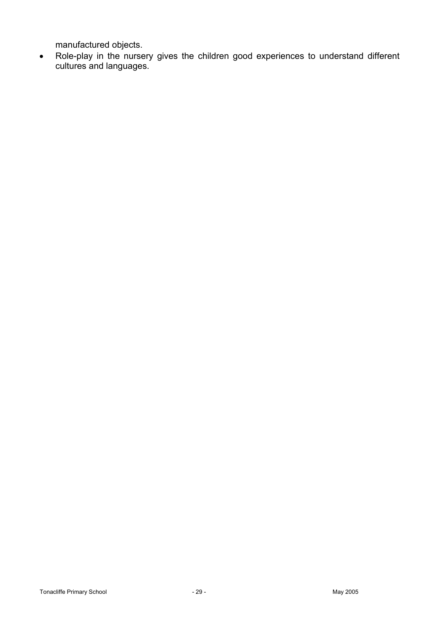manufactured objects.

• Role-play in the nursery gives the children good experiences to understand different cultures and languages.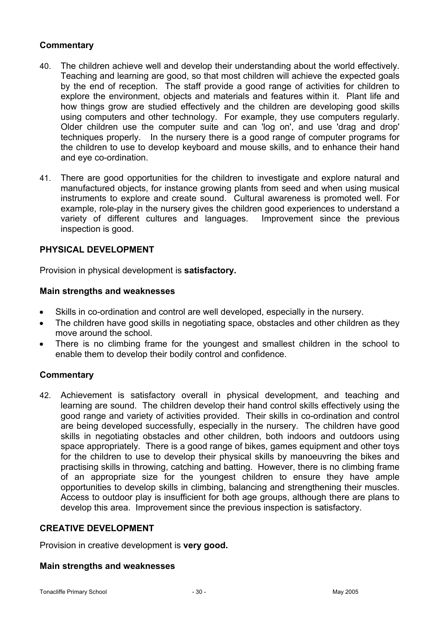## **Commentary**

- 40. The children achieve well and develop their understanding about the world effectively. Teaching and learning are good, so that most children will achieve the expected goals by the end of reception. The staff provide a good range of activities for children to explore the environment, objects and materials and features within it. Plant life and how things grow are studied effectively and the children are developing good skills using computers and other technology. For example, they use computers regularly. Older children use the computer suite and can 'log on', and use 'drag and drop' techniques properly.In the nursery there is a good range of computer programs for the children to use to develop keyboard and mouse skills, and to enhance their hand and eye co-ordination.
- 41. There are good opportunities for the children to investigate and explore natural and manufactured objects, for instance growing plants from seed and when using musical instruments to explore and create sound. Cultural awareness is promoted well. For example, role-play in the nursery gives the children good experiences to understand a variety of different cultures and languages. Improvement since the previous inspection is good.

## **PHYSICAL DEVELOPMENT**

Provision in physical development is **satisfactory.** 

#### **Main strengths and weaknesses**

- Skills in co-ordination and control are well developed, especially in the nursery.
- The children have good skills in negotiating space, obstacles and other children as they move around the school.
- There is no climbing frame for the youngest and smallest children in the school to enable them to develop their bodily control and confidence.

#### **Commentary**

42. Achievement is satisfactory overall in physical development, and teaching and learning are sound. The children develop their hand control skills effectively using the good range and variety of activities provided. Their skills in co-ordination and control are being developed successfully, especially in the nursery. The children have good skills in negotiating obstacles and other children, both indoors and outdoors using space appropriately. There is a good range of bikes, games equipment and other toys for the children to use to develop their physical skills by manoeuvring the bikes and practising skills in throwing, catching and batting. However, there is no climbing frame of an appropriate size for the youngest children to ensure they have ample opportunities to develop skills in climbing, balancing and strengthening their muscles. Access to outdoor play is insufficient for both age groups, although there are plans to develop this area. Improvement since the previous inspection is satisfactory.

#### **CREATIVE DEVELOPMENT**

Provision in creative development is **very good.** 

#### **Main strengths and weaknesses**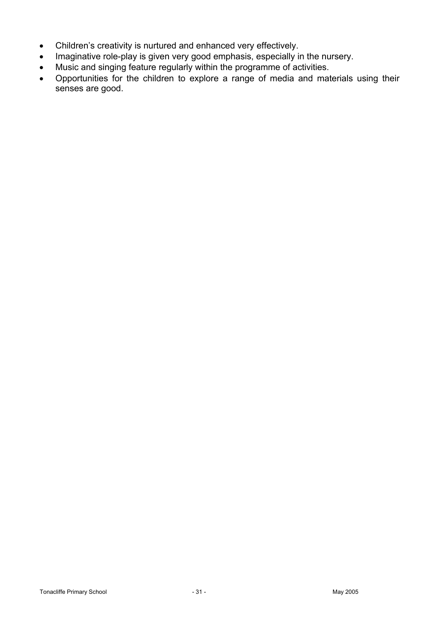- Children's creativity is nurtured and enhanced very effectively.
- Imaginative role-play is given very good emphasis, especially in the nursery.
- Music and singing feature regularly within the programme of activities.
- Opportunities for the children to explore a range of media and materials using their senses are good.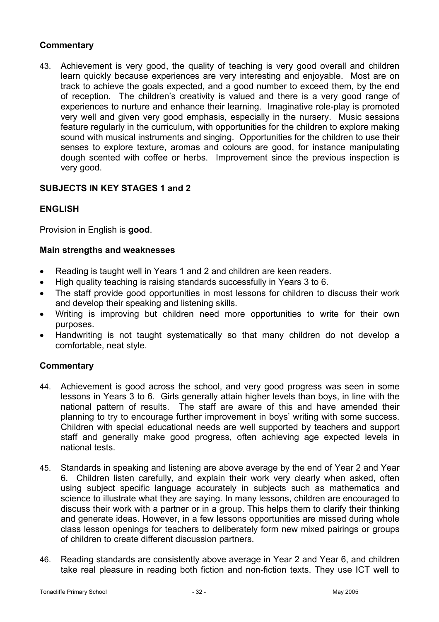## **Commentary**

43. Achievement is very good, the quality of teaching is very good overall and children learn quickly because experiences are very interesting and enjoyable. Most are on track to achieve the goals expected, and a good number to exceed them, by the end of reception. The children's creativity is valued and there is a very good range of experiences to nurture and enhance their learning. Imaginative role-play is promoted very well and given very good emphasis, especially in the nursery. Music sessions feature regularly in the curriculum, with opportunities for the children to explore making sound with musical instruments and singing. Opportunities for the children to use their senses to explore texture, aromas and colours are good, for instance manipulating dough scented with coffee or herbs. Improvement since the previous inspection is very good.

## **SUBJECTS IN KEY STAGES 1 and 2**

## **ENGLISH**

Provision in English is **good**.

## **Main strengths and weaknesses**

- Reading is taught well in Years 1 and 2 and children are keen readers.
- High quality teaching is raising standards successfully in Years 3 to 6.
- The staff provide good opportunities in most lessons for children to discuss their work and develop their speaking and listening skills.
- Writing is improving but children need more opportunities to write for their own purposes.
- Handwriting is not taught systematically so that many children do not develop a comfortable, neat style.

- 44. Achievement is good across the school, and very good progress was seen in some lessons in Years 3 to 6. Girls generally attain higher levels than boys, in line with the national pattern of results. The staff are aware of this and have amended their planning to try to encourage further improvement in boys' writing with some success. Children with special educational needs are well supported by teachers and support staff and generally make good progress, often achieving age expected levels in national tests.
- 45. Standards in speaking and listening are above average by the end of Year 2 and Year 6. Children listen carefully, and explain their work very clearly when asked, often using subject specific language accurately in subjects such as mathematics and science to illustrate what they are saying. In many lessons, children are encouraged to discuss their work with a partner or in a group. This helps them to clarify their thinking and generate ideas. However, in a few lessons opportunities are missed during whole class lesson openings for teachers to deliberately form new mixed pairings or groups of children to create different discussion partners.
- 46. Reading standards are consistently above average in Year 2 and Year 6, and children take real pleasure in reading both fiction and non-fiction texts. They use ICT well to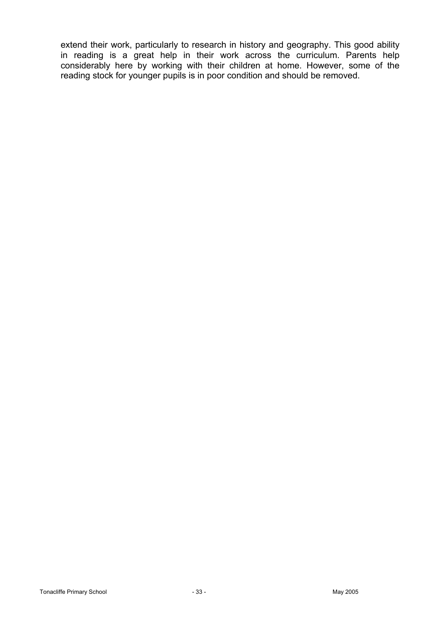extend their work, particularly to research in history and geography. This good ability in reading is a great help in their work across the curriculum. Parents help considerably here by working with their children at home. However, some of the reading stock for younger pupils is in poor condition and should be removed.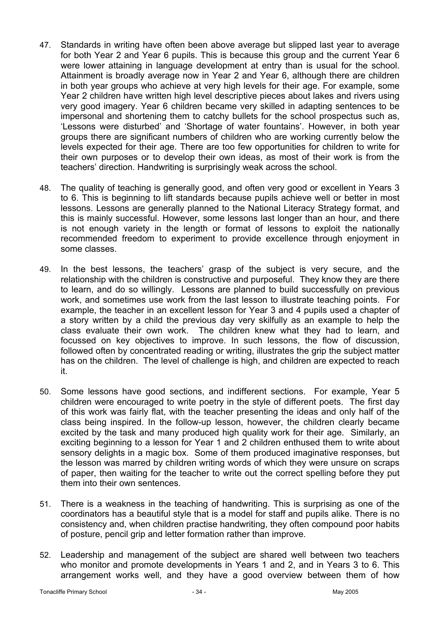- 47. Standards in writing have often been above average but slipped last year to average for both Year 2 and Year 6 pupils. This is because this group and the current Year 6 were lower attaining in language development at entry than is usual for the school. Attainment is broadly average now in Year 2 and Year 6, although there are children in both year groups who achieve at very high levels for their age. For example, some Year 2 children have written high level descriptive pieces about lakes and rivers using very good imagery. Year 6 children became very skilled in adapting sentences to be impersonal and shortening them to catchy bullets for the school prospectus such as, 'Lessons were disturbed' and 'Shortage of water fountains'. However, in both year groups there are significant numbers of children who are working currently below the levels expected for their age. There are too few opportunities for children to write for their own purposes or to develop their own ideas, as most of their work is from the teachers' direction. Handwriting is surprisingly weak across the school.
- 48. The quality of teaching is generally good, and often very good or excellent in Years 3 to 6. This is beginning to lift standards because pupils achieve well or better in most lessons. Lessons are generally planned to the National Literacy Strategy format, and this is mainly successful. However, some lessons last longer than an hour, and there is not enough variety in the length or format of lessons to exploit the nationally recommended freedom to experiment to provide excellence through enjoyment in some classes.
- 49. In the best lessons, the teachers' grasp of the subject is very secure, and the relationship with the children is constructive and purposeful. They know they are there to learn, and do so willingly. Lessons are planned to build successfully on previous work, and sometimes use work from the last lesson to illustrate teaching points. For example, the teacher in an excellent lesson for Year 3 and 4 pupils used a chapter of a story written by a child the previous day very skilfully as an example to help the class evaluate their own work. The children knew what they had to learn, and focussed on key objectives to improve. In such lessons, the flow of discussion, followed often by concentrated reading or writing, illustrates the grip the subject matter has on the children. The level of challenge is high, and children are expected to reach it.
- 50. Some lessons have good sections, and indifferent sections. For example, Year 5 children were encouraged to write poetry in the style of different poets. The first day of this work was fairly flat, with the teacher presenting the ideas and only half of the class being inspired. In the follow-up lesson, however, the children clearly became excited by the task and many produced high quality work for their age. Similarly, an exciting beginning to a lesson for Year 1 and 2 children enthused them to write about sensory delights in a magic box. Some of them produced imaginative responses, but the lesson was marred by children writing words of which they were unsure on scraps of paper, then waiting for the teacher to write out the correct spelling before they put them into their own sentences.
- 51. There is a weakness in the teaching of handwriting. This is surprising as one of the coordinators has a beautiful style that is a model for staff and pupils alike. There is no consistency and, when children practise handwriting, they often compound poor habits of posture, pencil grip and letter formation rather than improve.
- 52. Leadership and management of the subject are shared well between two teachers who monitor and promote developments in Years 1 and 2, and in Years 3 to 6. This arrangement works well, and they have a good overview between them of how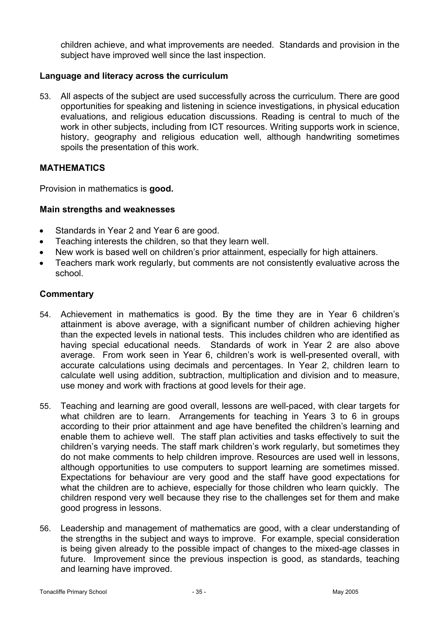children achieve, and what improvements are needed. Standards and provision in the subject have improved well since the last inspection.

## **Language and literacy across the curriculum**

53. All aspects of the subject are used successfully across the curriculum. There are good opportunities for speaking and listening in science investigations, in physical education evaluations, and religious education discussions. Reading is central to much of the work in other subjects, including from ICT resources. Writing supports work in science, history, geography and religious education well, although handwriting sometimes spoils the presentation of this work.

## **MATHEMATICS**

Provision in mathematics is **good.** 

## **Main strengths and weaknesses**

- Standards in Year 2 and Year 6 are good.
- Teaching interests the children, so that they learn well.
- New work is based well on children's prior attainment, especially for high attainers.
- Teachers mark work regularly, but comments are not consistently evaluative across the school.

- 54. Achievement in mathematics is good. By the time they are in Year 6 children's attainment is above average, with a significant number of children achieving higher than the expected levels in national tests. This includes children who are identified as having special educational needs. Standards of work in Year 2 are also above average. From work seen in Year 6, children's work is well-presented overall, with accurate calculations using decimals and percentages. In Year 2, children learn to calculate well using addition, subtraction, multiplication and division and to measure, use money and work with fractions at good levels for their age.
- 55. Teaching and learning are good overall, lessons are well-paced, with clear targets for what children are to learn. Arrangements for teaching in Years 3 to 6 in groups according to their prior attainment and age have benefited the children's learning and enable them to achieve well. The staff plan activities and tasks effectively to suit the children's varying needs. The staff mark children's work regularly, but sometimes they do not make comments to help children improve. Resources are used well in lessons, although opportunities to use computers to support learning are sometimes missed. Expectations for behaviour are very good and the staff have good expectations for what the children are to achieve, especially for those children who learn quickly. The children respond very well because they rise to the challenges set for them and make good progress in lessons.
- 56. Leadership and management of mathematics are good, with a clear understanding of the strengths in the subject and ways to improve. For example, special consideration is being given already to the possible impact of changes to the mixed-age classes in future. Improvement since the previous inspection is good, as standards, teaching and learning have improved.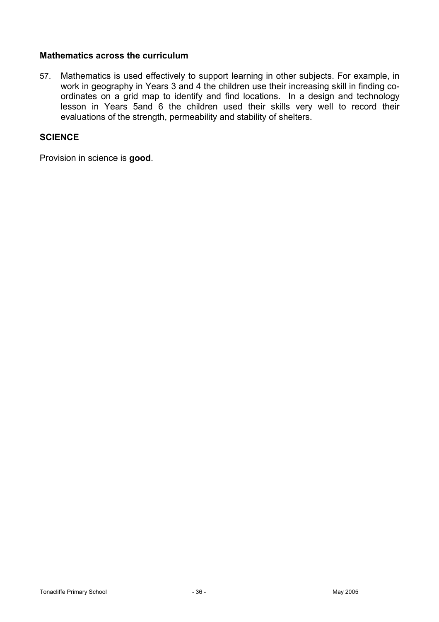#### **Mathematics across the curriculum**

57. Mathematics is used effectively to support learning in other subjects. For example, in work in geography in Years 3 and 4 the children use their increasing skill in finding coordinates on a grid map to identify and find locations. In a design and technology lesson in Years 5and 6 the children used their skills very well to record their evaluations of the strength, permeability and stability of shelters.

## **SCIENCE**

Provision in science is **good**.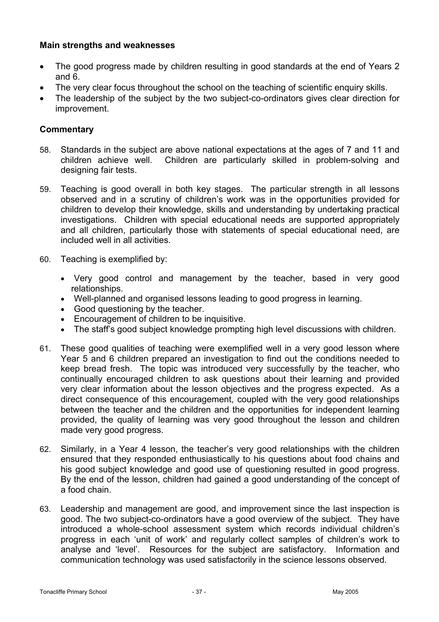## **Main strengths and weaknesses**

- The good progress made by children resulting in good standards at the end of Years 2 and 6.
- The very clear focus throughout the school on the teaching of scientific enquiry skills.
- The leadership of the subject by the two subject-co-ordinators gives clear direction for improvement.

- 58. Standards in the subject are above national expectations at the ages of 7 and 11 and children achieve well. Children are particularly skilled in problem-solving and designing fair tests.
- 59. Teaching is good overall in both key stages. The particular strength in all lessons observed and in a scrutiny of children's work was in the opportunities provided for children to develop their knowledge, skills and understanding by undertaking practical investigations. Children with special educational needs are supported appropriately and all children, particularly those with statements of special educational need, are included well in all activities.
- 60. Teaching is exemplified by:
	- Very good control and management by the teacher, based in very good relationships.
	- Well-planned and organised lessons leading to good progress in learning.
	- Good questioning by the teacher.
	- Encouragement of children to be inquisitive.
	- The staff's good subject knowledge prompting high level discussions with children.
- 61. These good qualities of teaching were exemplified well in a very good lesson where Year 5 and 6 children prepared an investigation to find out the conditions needed to keep bread fresh. The topic was introduced very successfully by the teacher, who continually encouraged children to ask questions about their learning and provided very clear information about the lesson objectives and the progress expected. As a direct consequence of this encouragement, coupled with the very good relationships between the teacher and the children and the opportunities for independent learning provided, the quality of learning was very good throughout the lesson and children made very good progress.
- 62. Similarly, in a Year 4 lesson, the teacher's very good relationships with the children ensured that they responded enthusiastically to his questions about food chains and his good subject knowledge and good use of questioning resulted in good progress. By the end of the lesson, children had gained a good understanding of the concept of a food chain.
- 63. Leadership and management are good, and improvement since the last inspection is good. The two subject-co-ordinators have a good overview of the subject. They have introduced a whole-school assessment system which records individual children's progress in each 'unit of work' and regularly collect samples of children's work to analyse and 'level'. Resources for the subject are satisfactory. Information and communication technology was used satisfactorily in the science lessons observed.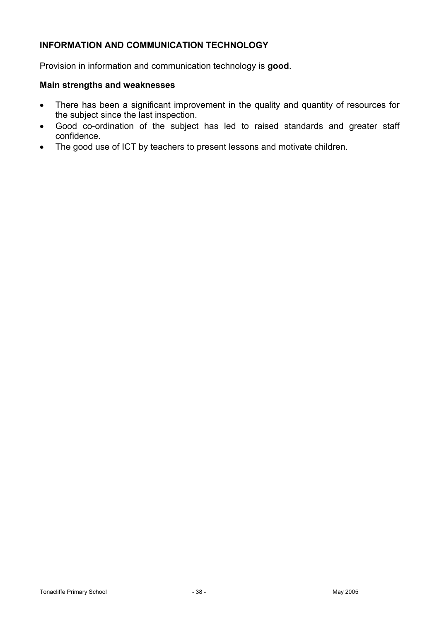## **INFORMATION AND COMMUNICATION TECHNOLOGY**

Provision in information and communication technology is **good**.

#### **Main strengths and weaknesses**

- There has been a significant improvement in the quality and quantity of resources for the subject since the last inspection.
- Good co-ordination of the subject has led to raised standards and greater staff confidence.
- The good use of ICT by teachers to present lessons and motivate children.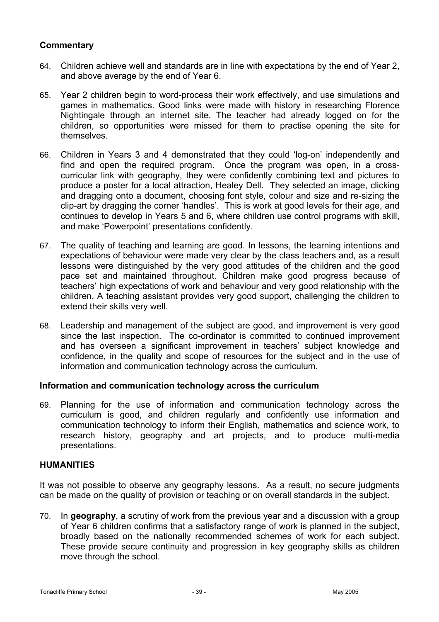## **Commentary**

- 64. Children achieve well and standards are in line with expectations by the end of Year 2, and above average by the end of Year 6.
- 65. Year 2 children begin to word-process their work effectively, and use simulations and games in mathematics. Good links were made with history in researching Florence Nightingale through an internet site. The teacher had already logged on for the children, so opportunities were missed for them to practise opening the site for themselves.
- 66. Children in Years 3 and 4 demonstrated that they could 'log-on' independently and find and open the required program. Once the program was open, in a crosscurricular link with geography, they were confidently combining text and pictures to produce a poster for a local attraction, Healey Dell. They selected an image, clicking and dragging onto a document, choosing font style, colour and size and re-sizing the clip-art by dragging the corner 'handles'. This is work at good levels for their age, and continues to develop in Years 5 and 6, where children use control programs with skill, and make 'Powerpoint' presentations confidently.
- 67. The quality of teaching and learning are good. In lessons, the learning intentions and expectations of behaviour were made very clear by the class teachers and, as a result lessons were distinguished by the very good attitudes of the children and the good pace set and maintained throughout. Children make good progress because of teachers' high expectations of work and behaviour and very good relationship with the children. A teaching assistant provides very good support, challenging the children to extend their skills very well.
- 68. Leadership and management of the subject are good, and improvement is very good since the last inspection. The co-ordinator is committed to continued improvement and has overseen a significant improvement in teachers' subject knowledge and confidence, in the quality and scope of resources for the subject and in the use of information and communication technology across the curriculum.

#### **Information and communication technology across the curriculum**

69. Planning for the use of information and communication technology across the curriculum is good, and children regularly and confidently use information and communication technology to inform their English, mathematics and science work, to research history, geography and art projects, and to produce multi-media presentations.

#### **HUMANITIES**

It was not possible to observe any geography lessons. As a result, no secure judgments can be made on the quality of provision or teaching or on overall standards in the subject.

70. In **geography**, a scrutiny of work from the previous year and a discussion with a group of Year 6 children confirms that a satisfactory range of work is planned in the subject, broadly based on the nationally recommended schemes of work for each subject. These provide secure continuity and progression in key geography skills as children move through the school.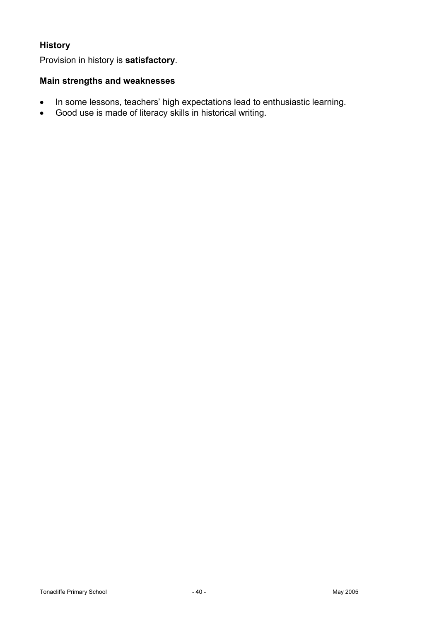## **History**

Provision in history is **satisfactory**.

## **Main strengths and weaknesses**

- In some lessons, teachers' high expectations lead to enthusiastic learning.
- Good use is made of literacy skills in historical writing.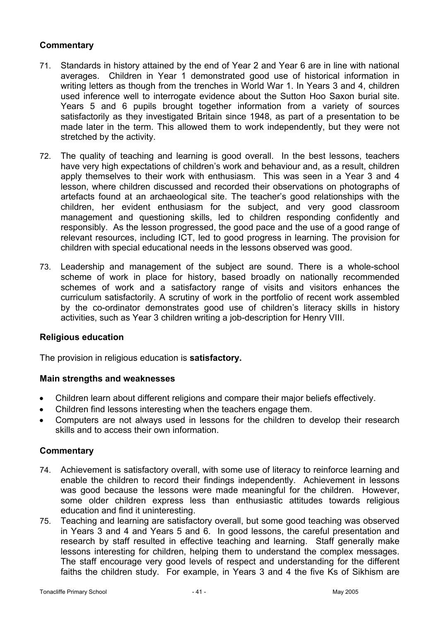## **Commentary**

- 71. Standards in history attained by the end of Year 2 and Year 6 are in line with national averages. Children in Year 1 demonstrated good use of historical information in writing letters as though from the trenches in World War 1. In Years 3 and 4, children used inference well to interrogate evidence about the Sutton Hoo Saxon burial site. Years 5 and 6 pupils brought together information from a variety of sources satisfactorily as they investigated Britain since 1948, as part of a presentation to be made later in the term. This allowed them to work independently, but they were not stretched by the activity.
- 72. The quality of teaching and learning is good overall. In the best lessons, teachers have very high expectations of children's work and behaviour and, as a result, children apply themselves to their work with enthusiasm. This was seen in a Year 3 and 4 lesson, where children discussed and recorded their observations on photographs of artefacts found at an archaeological site. The teacher's good relationships with the children, her evident enthusiasm for the subject, and very good classroom management and questioning skills, led to children responding confidently and responsibly. As the lesson progressed, the good pace and the use of a good range of relevant resources, including ICT, led to good progress in learning. The provision for children with special educational needs in the lessons observed was good.
- 73. Leadership and management of the subject are sound. There is a whole-school scheme of work in place for history, based broadly on nationally recommended schemes of work and a satisfactory range of visits and visitors enhances the curriculum satisfactorily. A scrutiny of work in the portfolio of recent work assembled by the co-ordinator demonstrates good use of children's literacy skills in history activities, such as Year 3 children writing a job-description for Henry VIII.

#### **Religious education**

The provision in religious education is **satisfactory.** 

#### **Main strengths and weaknesses**

- Children learn about different religions and compare their major beliefs effectively.
- Children find lessons interesting when the teachers engage them.
- Computers are not always used in lessons for the children to develop their research skills and to access their own information.

- 74. Achievement is satisfactory overall, with some use of literacy to reinforce learning and enable the children to record their findings independently. Achievement in lessons was good because the lessons were made meaningful for the children. However, some older children express less than enthusiastic attitudes towards religious education and find it uninteresting.
- 75. Teaching and learning are satisfactory overall, but some good teaching was observed in Years 3 and 4 and Years 5 and 6. In good lessons, the careful presentation and research by staff resulted in effective teaching and learning. Staff generally make lessons interesting for children, helping them to understand the complex messages. The staff encourage very good levels of respect and understanding for the different faiths the children study. For example, in Years 3 and 4 the five Ks of Sikhism are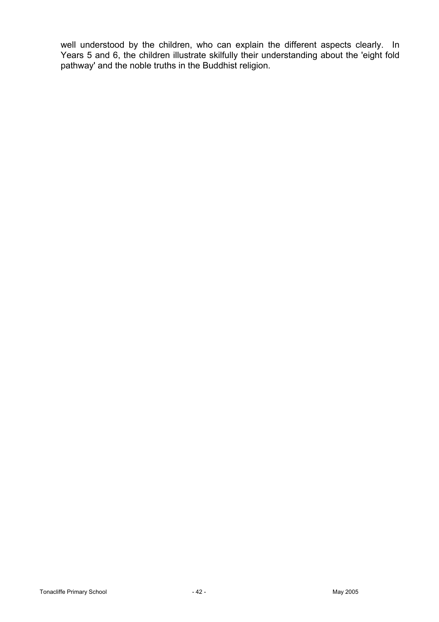well understood by the children, who can explain the different aspects clearly. In Years 5 and 6, the children illustrate skilfully their understanding about the 'eight fold pathway' and the noble truths in the Buddhist religion.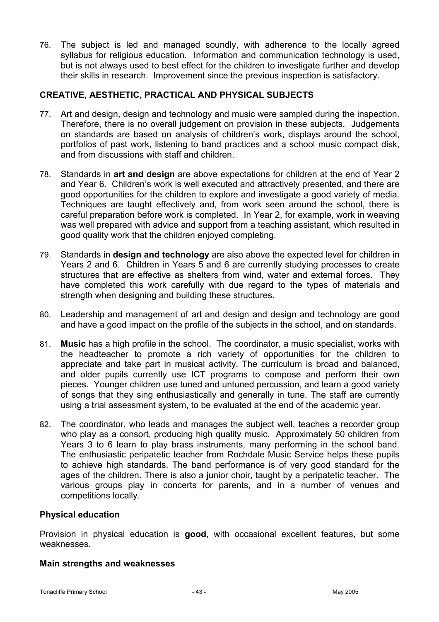76. The subject is led and managed soundly, with adherence to the locally agreed syllabus for religious education. Information and communication technology is used, but is not always used to best effect for the children to investigate further and develop their skills in research. Improvement since the previous inspection is satisfactory.

## **CREATIVE, AESTHETIC, PRACTICAL AND PHYSICAL SUBJECTS**

- 77. Art and design, design and technology and music were sampled during the inspection. Therefore, there is no overall judgement on provision in these subjects.Judgements on standards are based on analysis of children's work, displays around the school, portfolios of past work, listening to band practices and a school music compact disk, and from discussions with staff and children.
- 78. Standards in **art and design** are above expectations for children at the end of Year 2 and Year 6. Children's work is well executed and attractively presented, and there are good opportunities for the children to explore and investigate a good variety of media. Techniques are taught effectively and, from work seen around the school, there is careful preparation before work is completed. In Year 2, for example, work in weaving was well prepared with advice and support from a teaching assistant, which resulted in good quality work that the children enjoyed completing.
- 79. Standards in **design and technology** are also above the expected level for children in Years 2 and 6. Children in Years 5 and 6 are currently studying processes to create structures that are effective as shelters from wind, water and external forces. They have completed this work carefully with due regard to the types of materials and strength when designing and building these structures.
- 80. Leadership and management of art and design and design and technology are good and have a good impact on the profile of the subjects in the school, and on standards.
- 81. **Music** has a high profile in the school. The coordinator, a music specialist, works with the headteacher to promote a rich variety of opportunities for the children to appreciate and take part in musical activity. The curriculum is broad and balanced, and older pupils currently use ICT programs to compose and perform their own pieces. Younger children use tuned and untuned percussion, and learn a good variety of songs that they sing enthusiastically and generally in tune. The staff are currently using a trial assessment system, to be evaluated at the end of the academic year.
- 82. The coordinator, who leads and manages the subject well, teaches a recorder group who play as a consort, producing high quality music. Approximately 50 children from Years 3 to 6 learn to play brass instruments, many performing in the school band. The enthusiastic peripatetic teacher from Rochdale Music Service helps these pupils to achieve high standards. The band performance is of very good standard for the ages of the children. There is also a junior choir, taught by a peripatetic teacher. The various groups play in concerts for parents, and in a number of venues and competitions locally.

#### **Physical education**

Provision in physical education is **good**, with occasional excellent features, but some weaknesses.

#### **Main strengths and weaknesses**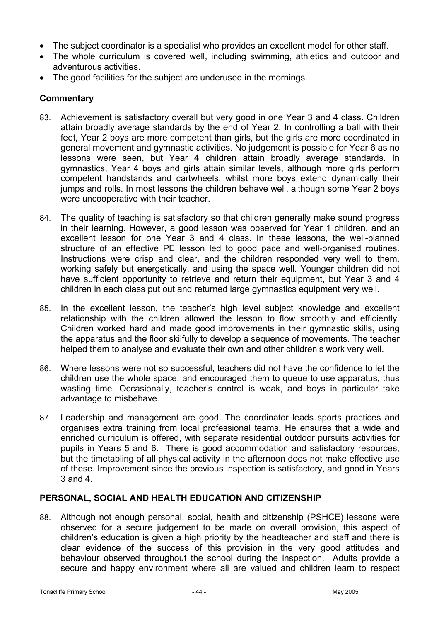- The subject coordinator is a specialist who provides an excellent model for other staff.
- The whole curriculum is covered well, including swimming, athletics and outdoor and adventurous activities.
- The good facilities for the subject are underused in the mornings.

## **Commentary**

- 83. Achievement is satisfactory overall but very good in one Year 3 and 4 class. Children attain broadly average standards by the end of Year 2. In controlling a ball with their feet, Year 2 boys are more competent than girls, but the girls are more coordinated in general movement and gymnastic activities. No judgement is possible for Year 6 as no lessons were seen, but Year 4 children attain broadly average standards. In gymnastics, Year 4 boys and girls attain similar levels, although more girls perform competent handstands and cartwheels, whilst more boys extend dynamically their jumps and rolls. In most lessons the children behave well, although some Year 2 boys were uncooperative with their teacher.
- 84. The quality of teaching is satisfactory so that children generally make sound progress in their learning. However, a good lesson was observed for Year 1 children, and an excellent lesson for one Year 3 and 4 class. In these lessons, the well-planned structure of an effective PE lesson led to good pace and well-organised routines. Instructions were crisp and clear, and the children responded very well to them, working safely but energetically, and using the space well. Younger children did not have sufficient opportunity to retrieve and return their equipment, but Year 3 and 4 children in each class put out and returned large gymnastics equipment very well.
- 85. In the excellent lesson, the teacher's high level subject knowledge and excellent relationship with the children allowed the lesson to flow smoothly and efficiently. Children worked hard and made good improvements in their gymnastic skills, using the apparatus and the floor skilfully to develop a sequence of movements. The teacher helped them to analyse and evaluate their own and other children's work very well.
- 86. Where lessons were not so successful, teachers did not have the confidence to let the children use the whole space, and encouraged them to queue to use apparatus, thus wasting time. Occasionally, teacher's control is weak, and boys in particular take advantage to misbehave.
- 87. Leadership and management are good. The coordinator leads sports practices and organises extra training from local professional teams. He ensures that a wide and enriched curriculum is offered, with separate residential outdoor pursuits activities for pupils in Years 5 and 6. There is good accommodation and satisfactory resources, but the timetabling of all physical activity in the afternoon does not make effective use of these. Improvement since the previous inspection is satisfactory, and good in Years 3 and 4.

#### **PERSONAL, SOCIAL AND HEALTH EDUCATION AND CITIZENSHIP**

88. Although not enough personal, social, health and citizenship (PSHCE) lessons were observed for a secure judgement to be made on overall provision, this aspect of children's education is given a high priority by the headteacher and staff and there is clear evidence of the success of this provision in the very good attitudes and behaviour observed throughout the school during the inspection. Adults provide a secure and happy environment where all are valued and children learn to respect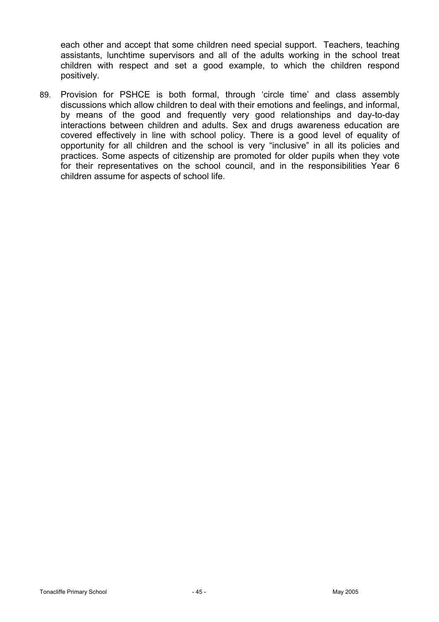each other and accept that some children need special support. Teachers, teaching assistants, lunchtime supervisors and all of the adults working in the school treat children with respect and set a good example, to which the children respond positively.

89. Provision for PSHCE is both formal, through 'circle time' and class assembly discussions which allow children to deal with their emotions and feelings, and informal, by means of the good and frequently very good relationships and day-to-day interactions between children and adults. Sex and drugs awareness education are covered effectively in line with school policy. There is a good level of equality of opportunity for all children and the school is very "inclusive" in all its policies and practices. Some aspects of citizenship are promoted for older pupils when they vote for their representatives on the school council, and in the responsibilities Year 6 children assume for aspects of school life.